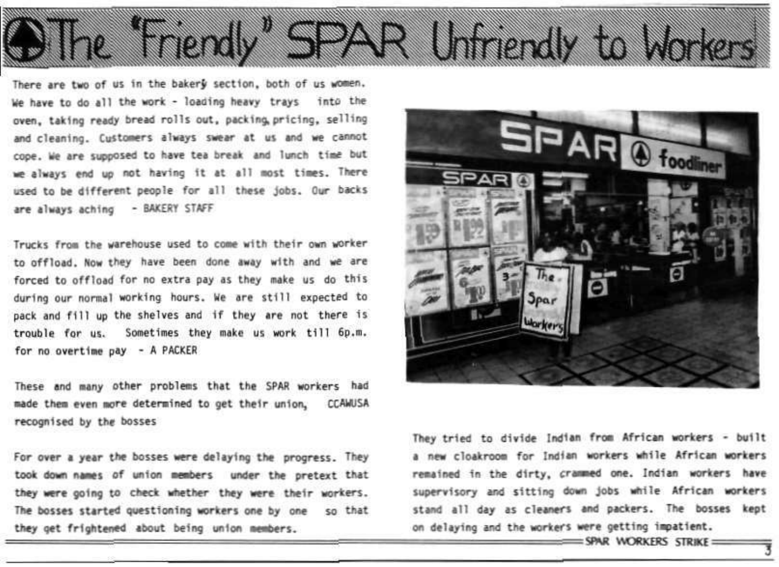There are two of us in the bakery section, both of us women. We have to do all the work - loading heavy trays into the oven, taking ready bread rolls out, packing pricing, selling and cleaning. Customers always swear at us and we cannot cope, we are supposed to have tea break and lunch time but we always end up not having it at all most times. There used to be different people for all these jobs. Our backs are always aching - BAKERY STAFF

SO 6

Trucks from the warehouse used to come with their own worker to offload. Now they have been done away with and we are forced to offload for no extra pay as they make us do this during our normal working hours. We are still expected to pack and fill up the shelves and if they are not there is trouble for us. Sometimes they make us work till 6p.m. for no overtime pay - A PACKER

These and many other problems that the SPAR workers had made them even more determined to get their union, CCAMJSA recognised by the bosses

For over a year the bosses were delaying the progress. They took down names of union members under the pretext that they were going to check whether they were their workers. The bosses started questioning workers one by one so that they get frightened about being union members.



R Unidendly to W

They tried to divide Indian from African workers - built a new cloakroom for Indian workers while African workers remained in the dirty, crammed one. Indian workers have supervisory and sitting down jobs while African workers stand all day as cleaners and packers. The bosses kept on delaying and the workers were getting impatient.

 $=$  SPAR WORKERS STRIKE  $=$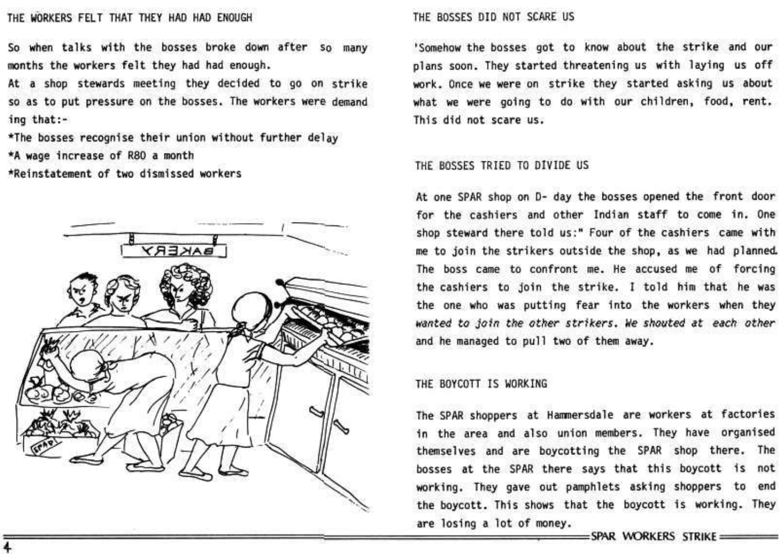## THE WORKERS FELT THAT THEY HAD HAD ENOUGH THE BOSSES DID NOT SCARE US

So when talks with the bosses broke down after so many months the workers felt they had had enough.

At a shop stewards meeting they decided to go on strike so as to put pressure on the bosses. The workers were demand ing that: -

\*The bosses recognise their union without further delay \*A wage increase of R80 a month

•Reinstatement of two dismissed workers



'Somehow the bosses got to know about the strike and our plans soon. They started threatening us with laying us off work. Once we were on strike they started asking us about what we were going to do with our children, food, rent. This did not scare us,

## THE BOSSES TRIED TO DIVIDE US

At one SPAR shop on D- day the bosses opened the front door for the cashiers and other Indian staff to come in. One shop steward there told us:" Four of the cashiers came with me to join the strikers outside the shop, as we had planned. The boss came to confront me. He accused me of forcing the cashiers to join the strike. I told him that he was the one who was putting fear into the workers when they wanted to join the other strikers. We shouted at each other and he managed to pull two of them away.

## THE BOYCOTT IS WORKING

The SPAR shoppers at Hammersdale are workers at factories in the area and also union members. They have organised themselves and are boycotting the SPAR shop there. The bosses at the SPAR there says that this boycott is not working. They gave out pamphlets asking shoppers to end the boycott. This shows that the boycott is working. They are losing a lot of money.

SPAR WORKERS STRIKE